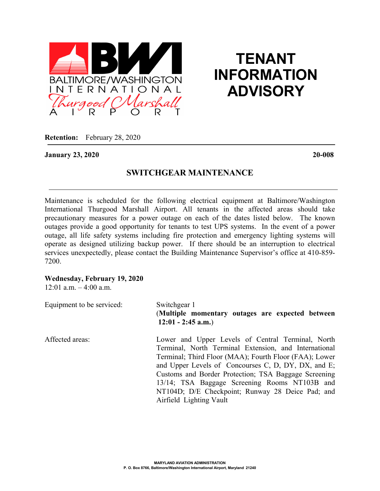

## **TENANT INFORMATION ADVISORY**

**Retention:** February 28, 2020

**January 23, 2020 20-008**

## **SWITCHGEAR MAINTENANCE**

Maintenance is scheduled for the following electrical equipment at Baltimore/Washington International Thurgood Marshall Airport. All tenants in the affected areas should take precautionary measures for a power outage on each of the dates listed below. The known outages provide a good opportunity for tenants to test UPS systems. In the event of a power outage, all life safety systems including fire protection and emergency lighting systems will operate as designed utilizing backup power. If there should be an interruption to electrical services unexpectedly, please contact the Building Maintenance Supervisor's office at 410-859- 7200.

## **Wednesday, February 19, 2020**

 $12:01$  a.m.  $-4:00$  a.m.

| Equipment to be serviced: | Switchgear 1<br>(Multiple momentary outages are expected between<br>$12:01 - 2:45$ a.m.)                                                                                                                                                                                                                                                                                                                            |
|---------------------------|---------------------------------------------------------------------------------------------------------------------------------------------------------------------------------------------------------------------------------------------------------------------------------------------------------------------------------------------------------------------------------------------------------------------|
| Affected areas:           | Lower and Upper Levels of Central Terminal, North<br>Terminal, North Terminal Extension, and International<br>Terminal; Third Floor (MAA); Fourth Floor (FAA); Lower<br>and Upper Levels of Concourses C, D, DY, DX, and E;<br>Customs and Border Protection; TSA Baggage Screening<br>13/14; TSA Baggage Screening Rooms NT103B and<br>NT104D; D/E Checkpoint; Runway 28 Deice Pad; and<br>Airfield Lighting Vault |